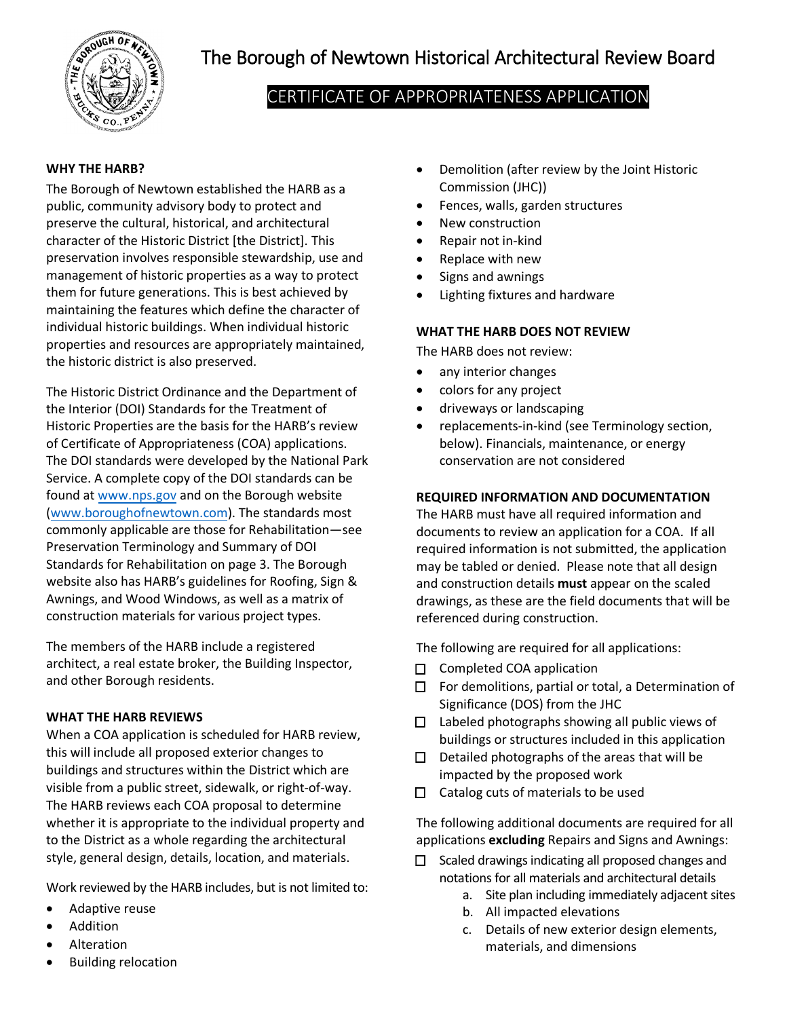

# The Borough of Newtown Historical Architectural Review Board

# CERTIFICATE OF APPROPRIATENESS APPLICATION

### **WHY THE HARB?**

The Borough of Newtown established the HARB as a public, community advisory body to protect and preserve the cultural, historical, and architectural character of the Historic District [the District]. This preservation involves responsible stewardship, use and management of historic properties as a way to protect them for future generations. This is best achieved by maintaining the features which define the character of individual historic buildings. When individual historic properties and resources are appropriately maintained, the historic district is also preserved.

The Historic District Ordinance and the Department of the Interior (DOI) Standards for the Treatment of Historic Properties are the basis for the HARB's review of Certificate of Appropriateness (COA) applications. The DOI standards were developed by the National Park Service. A complete copy of the DOI standards can be found at [www.nps.gov](http://www.nps.gov/tps/standards.htm) and on the Borough website [\(www.boroughofnewtown.com\).](http://www.boroughofnewtown.com/) The standards most commonly applicable are those for Rehabilitation—see Preservation Terminology and Summary of DOI Standards for Rehabilitation on page 3. The Borough website also has HARB's guidelines for Roofing, Sign & Awnings, and Wood Windows, as well as a matrix of construction materials for various project types.

The members of the HARB include a registered architect, a real estate broker, the Building Inspector, and other Borough residents.

#### **WHAT THE HARB REVIEWS**

When a COA application is scheduled for HARB review, this will include all proposed exterior changes to buildings and structures within the District which are visible from a public street, sidewalk, or right-of-way. The HARB reviews each COA proposal to determine whether it is appropriate to the individual property and to the District as a whole regarding the architectural style, general design, details, location, and materials.

Work reviewed by the HARB includes, but is not limited to:

- Adaptive reuse
- **Addition**
- Alteration
- Building relocation
- Demolition (after review by the Joint Historic Commission (JHC))
- Fences, walls, garden structures
- New construction
- Repair not in-kind
- Replace with new
- Signs and awnings
- Lighting fixtures and hardware

#### **WHAT THE HARB DOES NOT REVIEW**

The HARB does not review:

- any interior changes
- colors for any project
- driveways or landscaping
- replacements-in-kind (see Terminology section, below). Financials, maintenance, or energy conservation are not considered

#### **REQUIRED INFORMATION AND DOCUMENTATION**

The HARB must have all required information and documents to review an application for a COA. If all required information is not submitted, the application may be tabled or denied. Please note that all design and construction details **must** appear on the scaled drawings, as these are the field documents that will be referenced during construction.

The following are required for all applications:

- $\Box$  Completed COA application
- $\Box$  For demolitions, partial or total, a Determination of Significance (DOS) from the JHC
- $\Box$  Labeled photographs showing all public views of buildings or structures included in this application
- $\Box$  Detailed photographs of the areas that will be impacted by the proposed work
- $\Box$  Catalog cuts of materials to be used

The following additional documents are required for all applications **excluding** Repairs and Signs and Awnings:

- $\Box$  Scaled drawings indicating all proposed changes and notations for all materials and architectural details
	- a. Site plan including immediately adjacent sites
	- b. All impacted elevations
	- c. Details of new exterior design elements, materials, and dimensions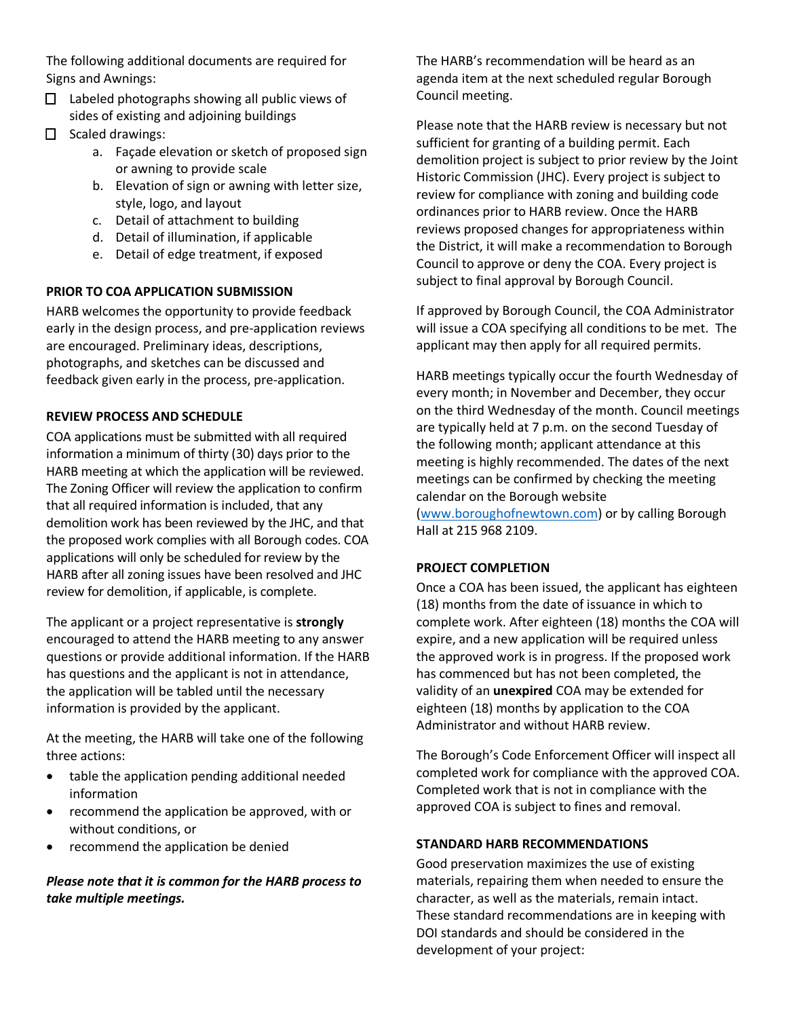The following additional documents are required for Signs and Awnings:

- $\Box$  Labeled photographs showing all public views of sides of existing and adjoining buildings
- $\Box$  Scaled drawings:
	- a. Façade elevation or sketch of proposed sign or awning to provide scale
	- b. Elevation of sign or awning with letter size, style, logo, and layout
	- c. Detail of attachment to building
	- d. Detail of illumination, if applicable
	- e. Detail of edge treatment, if exposed

#### **PRIOR TO COA APPLICATION SUBMISSION**

HARB welcomes the opportunity to provide feedback early in the design process, and pre-application reviews are encouraged. Preliminary ideas, descriptions, photographs, and sketches can be discussed and feedback given early in the process, pre-application.

#### **REVIEW PROCESS AND SCHEDULE**

COA applications must be submitted with all required information a minimum of thirty (30) days prior to the HARB meeting at which the application will be reviewed. The Zoning Officer will review the application to confirm that all required information is included, that any demolition work has been reviewed by the JHC, and that the proposed work complies with all Borough codes. COA applications will only be scheduled for review by the HARB after all zoning issues have been resolved and JHC review for demolition, if applicable, is complete.

The applicant or a project representative is **strongly** encouraged to attend the HARB meeting to any answer questions or provide additional information. If the HARB has questions and the applicant is not in attendance, the application will be tabled until the necessary information is provided by the applicant.

At the meeting, the HARB will take one of the following three actions:

- table the application pending additional needed information
- recommend the application be approved, with or without conditions, or
- recommend the application be denied

# *Please note that it is common for the HARB process to take multiple meetings.*

The HARB's recommendation will be heard as an agenda item at the next scheduled regular Borough Council meeting.

Please note that the HARB review is necessary but not sufficient for granting of a building permit. Each demolition project is subject to prior review by the Joint Historic Commission (JHC). Every project is subject to review for compliance with zoning and building code ordinances prior to HARB review. Once the HARB reviews proposed changes for appropriateness within the District, it will make a recommendation to Borough Council to approve or deny the COA. Every project is subject to final approval by Borough Council.

If approved by Borough Council, the COA Administrator will issue a COA specifying all conditions to be met. The applicant may then apply for all required permits.

HARB meetings typically occur the fourth Wednesday of every month; in November and December, they occur on the third Wednesday of the month. Council meetings are typically held at 7 p.m. on the second Tuesday of the following month; applicant attendance at this meeting is highly recommended. The dates of the next meetings can be confirmed by checking the meeting calendar on the Borough website [\(www.boroughofnewtown.com\)](http://www.boroughofnewtown.com/) or by calling Borough Hall at 215 968 2109.

#### **PROJECT COMPLETION**

Once a COA has been issued, the applicant has eighteen (18) months from the date of issuance in which to complete work. After eighteen (18) months the COA will expire, and a new application will be required unless the approved work is in progress. If the proposed work has commenced but has not been completed, the validity of an **unexpired** COA may be extended for eighteen (18) months by application to the COA Administrator and without HARB review.

The Borough's Code Enforcement Officer will inspect all completed work for compliance with the approved COA. Completed work that is not in compliance with the approved COA is subject to fines and removal.

# **STANDARD HARB RECOMMENDATIONS**

Good preservation maximizes the use of existing materials, repairing them when needed to ensure the character, as well as the materials, remain intact. These standard recommendations are in keeping with DOI standards and should be considered in the development of your project: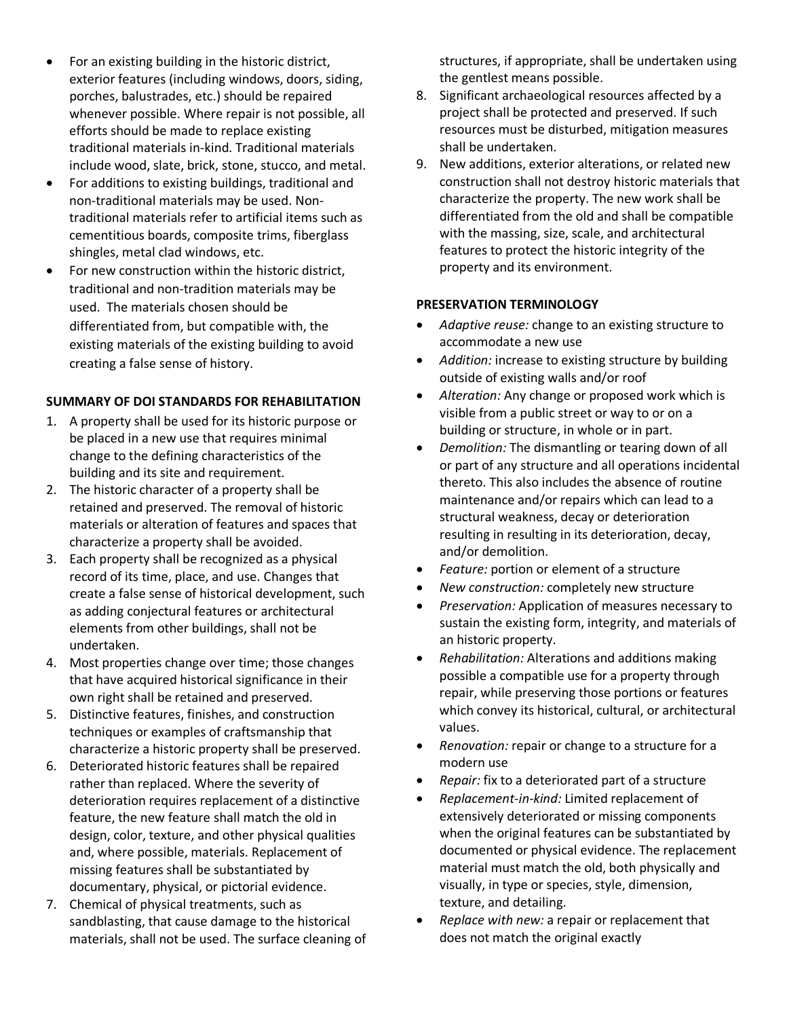- For an existing building in the historic district, exterior features (including windows, doors, siding, porches, balustrades, etc.) should be repaired whenever possible. Where repair is not possible, all efforts should be made to replace existing traditional materials in-kind. Traditional materials include wood, slate, brick, stone, stucco, and metal.
- For additions to existing buildings, traditional and non-traditional materials may be used. Nontraditional materials refer to artificial items such as cementitious boards, composite trims, fiberglass shingles, metal clad windows, etc.
- For new construction within the historic district, traditional and non-tradition materials may be used. The materials chosen should be differentiated from, but compatible with, the existing materials of the existing building to avoid creating a false sense of history.

#### **SUMMARY OF DOI STANDARDS FOR REHABILITATION**

- 1. A property shall be used for its historic purpose or be placed in a new use that requires minimal change to the defining characteristics of the building and its site and requirement.
- 2. The historic character of a property shall be retained and preserved. The removal of historic materials or alteration of features and spaces that characterize a property shall be avoided.
- 3. Each property shall be recognized as a physical record of its time, place, and use. Changes that create a false sense of historical development, such as adding conjectural features or architectural elements from other buildings, shall not be undertaken.
- 4. Most properties change over time; those changes that have acquired historical significance in their own right shall be retained and preserved.
- 5. Distinctive features, finishes, and construction techniques or examples of craftsmanship that characterize a historic property shall be preserved.
- 6. Deteriorated historic features shall be repaired rather than replaced. Where the severity of deterioration requires replacement of a distinctive feature, the new feature shall match the old in design, color, texture, and other physical qualities and, where possible, materials. Replacement of missing features shall be substantiated by documentary, physical, or pictorial evidence.
- 7. Chemical of physical treatments, such as sandblasting, that cause damage to the historical materials, shall not be used. The surface cleaning of

structures, if appropriate, shall be undertaken using the gentlest means possible.

- 8. Significant archaeological resources affected by a project shall be protected and preserved. If such resources must be disturbed, mitigation measures shall be undertaken.
- 9. New additions, exterior alterations, or related new construction shall not destroy historic materials that characterize the property. The new work shall be differentiated from the old and shall be compatible with the massing, size, scale, and architectural features to protect the historic integrity of the property and its environment.

#### **PRESERVATION TERMINOLOGY**

- *Adaptive reuse:* change to an existing structure to accommodate a new use
- *Addition:* increase to existing structure by building outside of existing walls and/or roof
- *Alteration:* Any change or proposed work which is visible from a public street or way to or on a building or structure, in whole or in part.
- *Demolition:* The dismantling or tearing down of all or part of any structure and all operations incidental thereto. This also includes the absence of routine maintenance and/or repairs which can lead to a structural weakness, decay or deterioration resulting in resulting in its deterioration, decay, and/or demolition.
- *Feature:* portion or element of a structure
- *New construction:* completely new structure
- *Preservation:* Application of measures necessary to sustain the existing form, integrity, and materials of an historic property.
- *Rehabilitation:* Alterations and additions making possible a compatible use for a property through repair, while preserving those portions or features which convey its historical, cultural, or architectural values.
- *Renovation:* repair or change to a structure for a modern use
- *Repair:* fix to a deteriorated part of a structure
- *Replacement*-*in-kind:* Limited replacement of extensively deteriorated or missing components when the original features can be substantiated by documented or physical evidence. The replacement material must match the old, both physically and visually, in type or species, style, dimension, texture, and detailing.
- *Replace with new:* a repair or replacement that does not match the original exactly